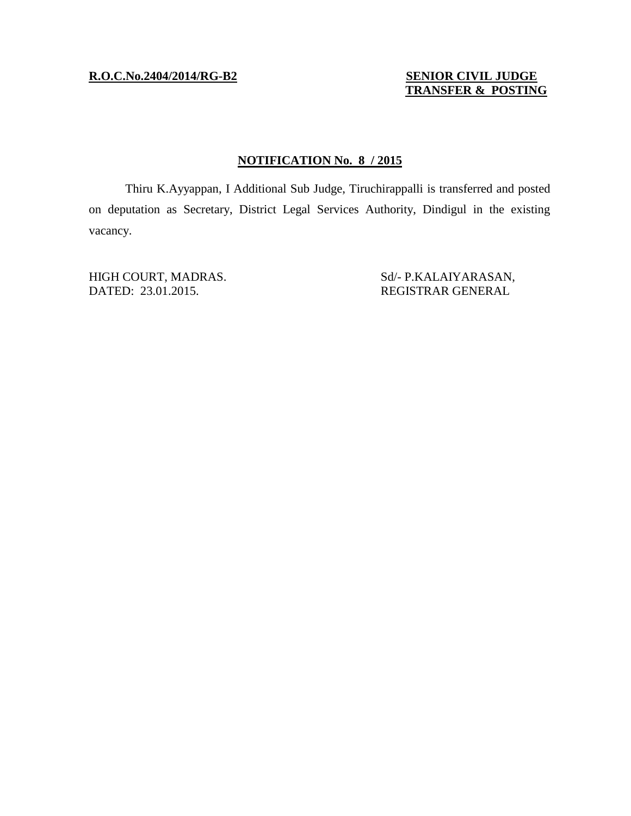### **R.O.C.No.2404/2014/RG-B2 SENIOR CIVIL JUDGE**

# **TRANSFER & POSTING**

## **NOTIFICATION No. 8 / 2015**

Thiru K.Ayyappan, I Additional Sub Judge, Tiruchirappalli is transferred and posted on deputation as Secretary, District Legal Services Authority, Dindigul in the existing vacancy.

DATED: 23.01.2015. REGISTRAR GENERAL

HIGH COURT, MADRAS. Sd/- P.KALAIYARASAN,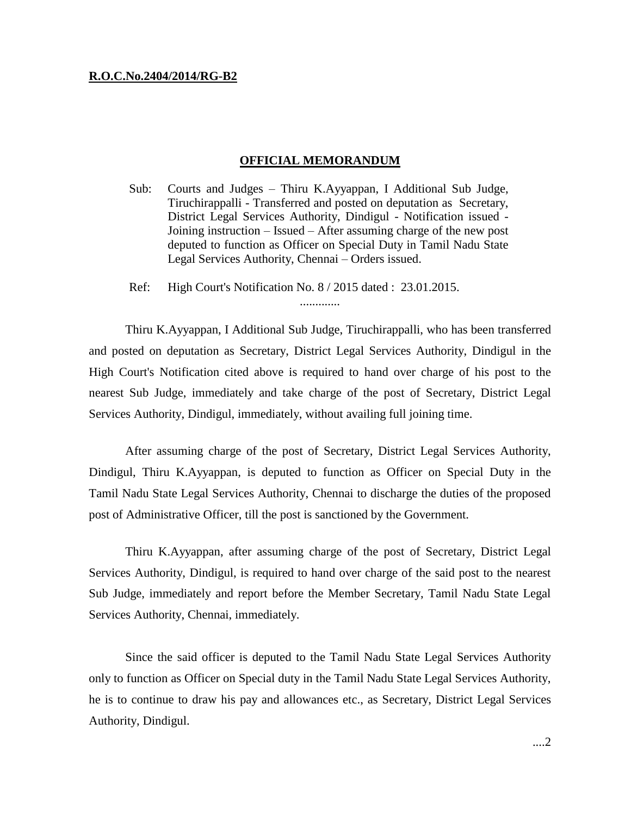#### **R.O.C.No.2404/2014/RG-B2**

#### **OFFICIAL MEMORANDUM**

- Sub: Courts and Judges Thiru K.Ayyappan, I Additional Sub Judge, Tiruchirappalli - Transferred and posted on deputation as Secretary, District Legal Services Authority, Dindigul - Notification issued - Joining instruction – Issued – After assuming charge of the new post deputed to function as Officer on Special Duty in Tamil Nadu State Legal Services Authority, Chennai – Orders issued.
- Ref: High Court's Notification No. 8 / 2015 dated : 23.01.2015.

Thiru K.Ayyappan, I Additional Sub Judge, Tiruchirappalli, who has been transferred and posted on deputation as Secretary, District Legal Services Authority, Dindigul in the High Court's Notification cited above is required to hand over charge of his post to the nearest Sub Judge, immediately and take charge of the post of Secretary, District Legal Services Authority, Dindigul, immediately, without availing full joining time.

.............

After assuming charge of the post of Secretary, District Legal Services Authority, Dindigul, Thiru K.Ayyappan, is deputed to function as Officer on Special Duty in the Tamil Nadu State Legal Services Authority, Chennai to discharge the duties of the proposed post of Administrative Officer, till the post is sanctioned by the Government.

Thiru K.Ayyappan, after assuming charge of the post of Secretary, District Legal Services Authority, Dindigul, is required to hand over charge of the said post to the nearest Sub Judge, immediately and report before the Member Secretary, Tamil Nadu State Legal Services Authority, Chennai, immediately.

Since the said officer is deputed to the Tamil Nadu State Legal Services Authority only to function as Officer on Special duty in the Tamil Nadu State Legal Services Authority, he is to continue to draw his pay and allowances etc., as Secretary, District Legal Services Authority, Dindigul.